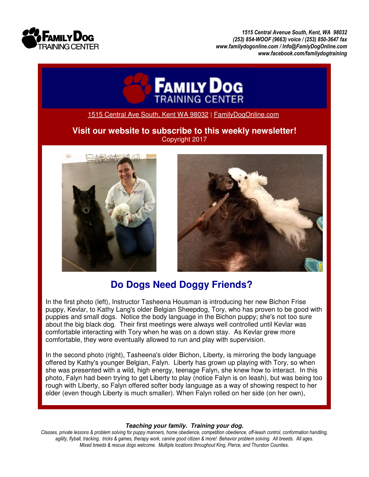

*1515 Central Avenue South, Kent, WA 98032 (253) 854-WOOF (9663) voice / (253) 850-3647 fax www.familydogonline.com / Info@FamiyDogOnline.com www.facebook.com/familydogtraining* 



1515 Central Ave South, Kent WA 98032 | FamilyDogOnline.com

## **Visit our website to subscribe to this weekly newsletter!**  Copyright 2017





## **Do Dogs Need Doggy Friends?**

In the first photo (left), Instructor Tasheena Housman is introducing her new Bichon Frise puppy, Kevlar, to Kathy Lang's older Belgian Sheepdog, Tory, who has proven to be good with puppies and small dogs. Notice the body language in the Bichon puppy; she's not too sure about the big black dog. Their first meetings were always well controlled until Kevlar was comfortable interacting with Tory when he was on a down stay. As Kevlar grew more comfortable, they were eventually allowed to run and play with supervision.

In the second photo (right), Tasheena's older Bichon, Liberty, is mirroring the body language offered by Kathy's younger Belgian, Falyn. Liberty has grown up playing with Tory, so when she was presented with a wild, high energy, teenage Falyn, she knew how to interact. In this photo, Falyn had been trying to get Liberty to play (notice Falyn is on leash), but was being too rough with Liberty, so Falyn offered softer body language as a way of showing respect to her elder (even though Liberty is much smaller). When Falyn rolled on her side (on her own),

## **Teaching your family. Training your dog.**

*Classes, private lessons & problem solving for puppy manners, home obedience, competition obedience, off-leash control, conformation handling, agility, flyball, tracking, tricks & games, therapy work, canine good citizen & more! Behavior problem solving. All breeds. All ages. Mixed breeds & rescue dogs welcome. Multiple locations throughout King, Pierce, and Thurston Counties.*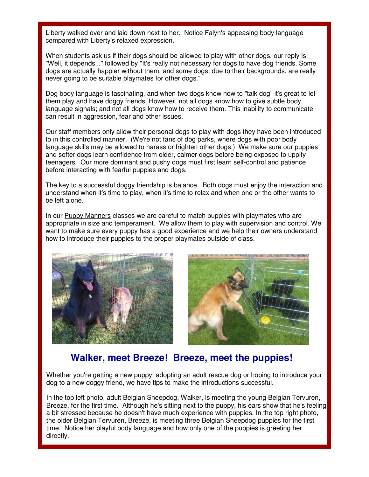Liberty walked over and laid down next to her. Notice Falyn's appeasing body language compared with Liberty's relaxed expression.

When students ask us if their dogs should be allowed to play with other dogs, our reply is "Well, it depends..." followed by "It's really not necessary for dogs to have dog friends. Some dogs are actually happier without them, and some dogs, due to their backgrounds, are really never going to be suitable playmates for other dogs."

Dog body language is fascinating, and when two dogs know how to "talk dog" it's great to let them play and have doggy friends. However, not all dogs know how to give subtle body language signals; and not all dogs know how to receive them. This inability to communicate can result in aggression, fear and other issues.

Our staff members only allow their personal dogs to play with dogs they have been introduced to in this controlled manner. (We're not fans of dog parks, where dogs with poor body language skills may be allowed to harass or frighten other dogs.) We make sure our puppies and softer dogs learn confidence from older, calmer dogs before being exposed to uppity teenagers. Our more dominant and pushy dogs must first learn self-control and patience before interacting with fearful puppies and dogs.

The key to a successful doggy friendship is balance. Both dogs must enjoy the interaction and understand when it's time to play, when it's time to relax and when one or the other wants to be left alone.

In our Puppy Manners classes we are careful to match puppies with playmates who are appropriate in size and temperament. We allow them to play with supervision and control. We want to make sure every puppy has a good experience and we help their owners understand how to introduce their puppies to the proper playmates outside of class.





## **Walker, meet Breeze! Breeze, meet the puppies!**

Whether you're getting a new puppy, adopting an adult rescue dog or hoping to introduce your dog to a new doggy friend, we have tips to make the introductions successful.

In the top left photo, adult Belgian Sheepdog, Walker, is meeting the young Belgian Tervuren, Breeze, for the first time. Although he's sitting next to the puppy, his ears show that he's feeling a bit stressed because he doesn't have much experience with puppies. In the top right photo, the older Belgian Tervuren, Breeze, is meeting three Belgian Sheepdog puppies for the first time. Notice her playful body language and how only one of the puppies is greeting her directly.